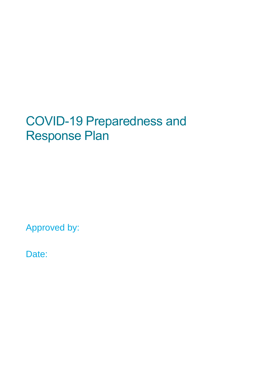# COVID-19 Preparedness and Response Plan

Approved by:

Date: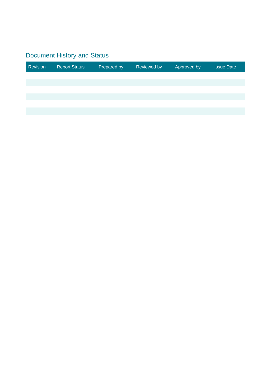#### Document History and Status

| Revision | <b>Report Status</b> | Prepared by | Reviewed by | Approved by | <b>Issue Date</b> |
|----------|----------------------|-------------|-------------|-------------|-------------------|
|          |                      |             |             |             |                   |
|          |                      |             |             |             |                   |
|          |                      |             |             |             |                   |
|          |                      |             |             |             |                   |
|          |                      |             |             |             |                   |
|          |                      |             |             |             |                   |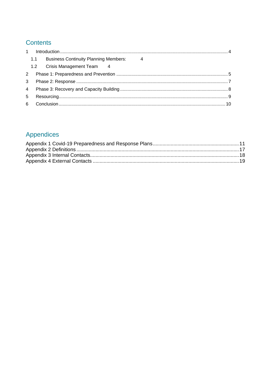#### **Contents**

| $\mathbf{1}$   |     |                                              |   |  |  |
|----------------|-----|----------------------------------------------|---|--|--|
|                | 1.1 | <b>Business Continuity Planning Members:</b> | 4 |  |  |
|                |     | 1.2 Crisis Management Team 4                 |   |  |  |
| 2              |     |                                              |   |  |  |
| 3              |     |                                              |   |  |  |
| $\overline{4}$ |     |                                              |   |  |  |
| 5              |     |                                              |   |  |  |
| 6              |     |                                              |   |  |  |

#### Appendices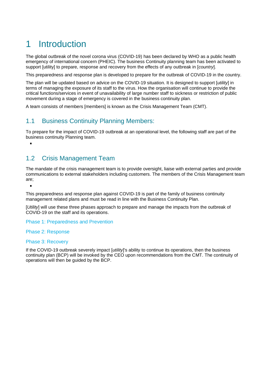## <span id="page-3-0"></span>1 Introduction

The global outbreak of the novel corona virus (COVID-19) has been declared by WHO as a public health emergency of international concern (PHEIC). The business Continuity planning team has been activated to support [utility] to prepare, response and recovery from the effects of any outbreak in [*country*].

This preparedness and response plan is developed to prepare for the outbreak of COVID-19 in the country.

The plan will be updated based on advice on the COVID-19 situation. It is designed to support [*utility*] in terms of managing the exposure of its staff to the virus. How the organisation will continue to provide the critical functions/services in event of unavailability of large number staff to sickness or restriction of public movement during a stage of emergency is covered in the business continuity plan.

<span id="page-3-1"></span>A team consists of members [members] is known as the Crisis Management Team (CMT).

#### 1.1 Business Continuity Planning Members:

To prepare for the impact of COVID-19 outbreak at an operational level, the following staff are part of the business continuity Planning team.

#### <span id="page-3-2"></span>1.2 Crisis Management Team

The mandate of the crisis management team is to provide oversight, liaise with external parties and provide communications to external stakeholders including customers. The members of the Crisis Management team are;

 $\blacksquare$ 

This preparedness and response plan against COVID-19 is part of the family of business continuity management related plans and must be read in line with the Business Continuity Plan.

[*Utility*] will use these three phases approach to prepare and manage the impacts from the outbreak of COVID-19 on the staff and its operations.

Phase 1: Preparedness and Prevention

#### Phase 2: Response

#### Phase 3: Recovery

If the COVID-19 outbreak severely impact [*utility*]'s ability to continue its operations, then the business continuity plan (BCP) will be invoked by the CEO upon recommendations from the CMT. The continuity of operations will then be guided by the BCP.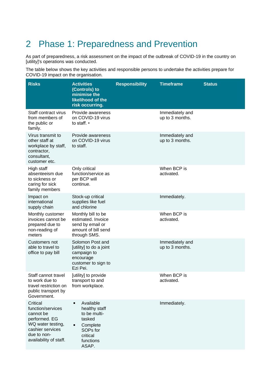### <span id="page-4-0"></span>2 Phase 1: Preparedness and Prevention

As part of preparedness, a risk assessment on the impact of the outbreak of COVID-19 in the country on [utility]'s operations was conducted.

The table below shows the key activities and responsible persons to undertake the activities prepare for COVID-19 impact on the organisation.

| <b>Risks</b>                                                                                                                                  | <b>Activities</b><br>(Controls) to<br>minimise the<br>likelihood of the<br>risk occurring.                               | <b>Responsibility</b> | <b>Timeframe</b>                   | <b>Status</b> |
|-----------------------------------------------------------------------------------------------------------------------------------------------|--------------------------------------------------------------------------------------------------------------------------|-----------------------|------------------------------------|---------------|
| Staff contract virus<br>from members of<br>the public or<br>family.                                                                           | Provide awareness<br>on COVID-19 virus<br>to staff. •                                                                    |                       | Immediately and<br>up to 3 months. |               |
| Virus transmit to<br>other staff at<br>workplace by staff,<br>contractor,<br>consultant,<br>customer etc.                                     | Provide awareness<br>on COVID-19 virus<br>to staff.                                                                      |                       | Immediately and<br>up to 3 months. |               |
| High staff<br>absenteeism due<br>to sickness or<br>caring for sick<br>family members                                                          | Only critical<br>function/service as<br>per BCP will<br>continue.                                                        |                       | When BCP is<br>activated.          |               |
| Impact on<br>international<br>supply chain                                                                                                    | Stock-up critical<br>supplies like fuel<br>and chlorine                                                                  |                       | Immediately.                       |               |
| Monthly customer<br>invoices cannot be<br>prepared due to<br>non-reading of<br>meters                                                         | Monthly bill to be<br>estimated. Invoice<br>send by email or<br>amount of bill send<br>through SMS.                      |                       | When BCP is<br>activated.          |               |
| Customers not<br>able to travel to<br>office to pay bill                                                                                      | Solomon Post and<br>[utility] to do a joint<br>campaign to<br>encourage<br>customer to sign to<br>Ezi Pei.               |                       | Immediately and<br>up to 3 months. |               |
| Staff cannot travel<br>to work due to<br>travel restriction on<br>public transport by<br>Government.                                          | [utility] to provide<br>transport to and<br>from workplace.                                                              |                       | When BCP is<br>activated.          |               |
| Critical<br>function/services<br>cannot be<br>performed. EG<br>WQ water testing,<br>cashier services<br>due to non-<br>availability of staff. | Available<br>٠<br>healthy staff<br>to be multi-<br>tasked<br>Complete<br>٠<br>SOPs for<br>critical<br>functions<br>ASAP. |                       | Immediately.                       |               |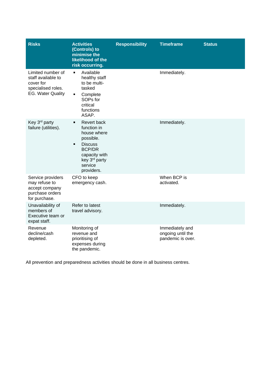| <b>Risks</b>                                                                                           | <b>Activities</b><br>(Controls) to<br>minimise the<br>likelihood of the<br>risk occurring.                                                                                  | <b>Responsibility</b> | <b>Timeframe</b>                                          | <b>Status</b> |
|--------------------------------------------------------------------------------------------------------|-----------------------------------------------------------------------------------------------------------------------------------------------------------------------------|-----------------------|-----------------------------------------------------------|---------------|
| Limited number of<br>staff available to<br>cover for<br>specialised roles.<br><b>EG. Water Quality</b> | Available<br>٠<br>healthy staff<br>to be multi-<br>tasked<br>٠<br>Complete<br>SOPs for<br>critical<br>functions<br>ASAP.                                                    |                       | Immediately.                                              |               |
| Key 3 <sup>rd</sup> party<br>failure (utilities).                                                      | Revert back<br>٠<br>function in<br>house where<br>possible.<br><b>Discuss</b><br>$\blacksquare$<br><b>BCP/DR</b><br>capacity with<br>key 3rd party<br>service<br>providers. |                       | Immediately.                                              |               |
| Service providers<br>may refuse to<br>accept company<br>purchase orders<br>for purchase.               | CFO to keep<br>emergency cash.                                                                                                                                              |                       | When BCP is<br>activated.                                 |               |
| Unavailability of<br>members of<br>Executive team or<br>expat staff.                                   | Refer to latest<br>travel advisory.                                                                                                                                         |                       | Immediately.                                              |               |
| Revenue<br>decline/cash<br>depleted.                                                                   | Monitoring of<br>revenue and<br>prioritising of<br>expenses during<br>the pandemic.                                                                                         |                       | Immediately and<br>ongoing until the<br>pandemic is over. |               |

All prevention and preparedness activities should be done in all business centres.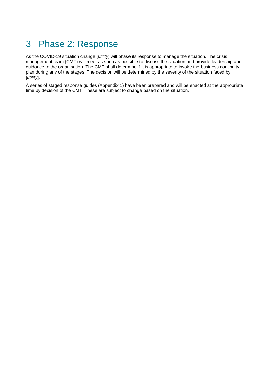#### <span id="page-6-0"></span>3 Phase 2: Response

As the COVID-19 situation change [*utility*] will phase its response to manage the situation. The crisis management team {CMT) will meet as soon as possible to discuss the situation and provide leadership and guidance to the organisation. The CMT shall determine if it is appropriate to invoke the business continuity plan during any of the stages. The decision will be determined by the severity of the situation faced by [*utility*].

A series of staged response guides (Appendix 1) have been prepared and will be enacted at the appropriate time by decision of the CMT. These are subject to change based on the situation.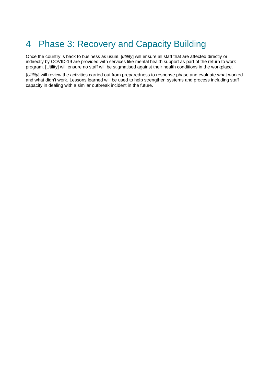### <span id="page-7-0"></span>4 Phase 3: Recovery and Capacity Building

Once the country is back to business as usual, [*utility*] will ensure all staff that are affected directly or indirectly by COVID-19 are provided with services like mental health support as part of the return to work program. [Utility] will ensure no staff will be stigmatised against their health conditions in the workplace.

[*Utility*] will review the activities carried out from preparedness to response phase and evaluate what worked and what didn't work. Lessons learned will be used to help strengthen systems and process including staff capacity in dealing with a similar outbreak incident in the future.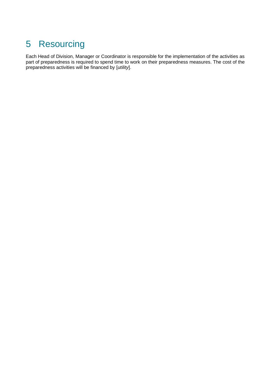### <span id="page-8-0"></span>5 Resourcing

Each Head of Division, Manager or Coordinator is responsible for the implementation of the activities as part of preparedness is required to spend time to work on their preparedness measures. The cost of the preparedness activities will be financed by [*utility*].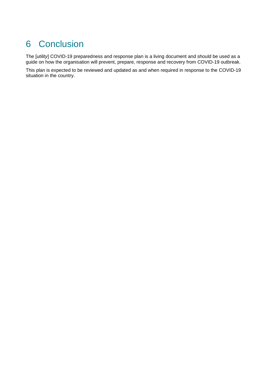### <span id="page-9-0"></span>6 Conclusion

The [*utility*] COVID-19 preparedness and response plan is a living document and should be used as a guide on how the organisation will prevent, prepare, response and recovery from COVID-19 outbreak.

This plan is expected to be reviewed and updated as and when required in response to the COVID-19 situation in the country.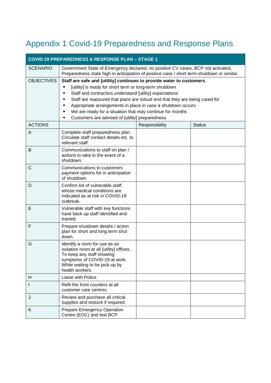## <span id="page-10-0"></span>Appendix 1 Covid-19 Preparedness and Response Plans

| <b>COVID-19 PREPAREDNESS &amp; RESPONSE PLAN - STAGE 1</b> |                                                                                                                                                                                                                                                                                                                                                                                                                                                                |                |               |  |  |
|------------------------------------------------------------|----------------------------------------------------------------------------------------------------------------------------------------------------------------------------------------------------------------------------------------------------------------------------------------------------------------------------------------------------------------------------------------------------------------------------------------------------------------|----------------|---------------|--|--|
| <b>SCENARIO</b>                                            | Government State of Emergency declared, no positive CV cases, BCP not activated.<br>Preparedness state high in anticipation of positive case / short term shutdown or similar.                                                                                                                                                                                                                                                                                 |                |               |  |  |
| <b>OBJECTIVES</b>                                          | Staff are safe and [utility] continues to provide water to customers.<br>[utility] is ready for short term or long-term shutdown<br>Staff and contractors understand [utility] expectations<br>Staff are reassured that plans are robust and that they are being cared for<br>п<br>Appropriate arrangements in place in case a shutdown occurs<br>We are ready for a situation that may continue for months<br>Customers are advised of [utility] preparedness |                |               |  |  |
| <b>ACTIONS</b>                                             |                                                                                                                                                                                                                                                                                                                                                                                                                                                                | Responsibility | <b>Status</b> |  |  |
| A                                                          | Complete staff preparedness plan.<br>Circulate staff contact details etc. to<br>relevant staff.                                                                                                                                                                                                                                                                                                                                                                |                |               |  |  |
| B                                                          | Communications to staff on plan /<br>actions to take in the event of a<br>shutdown.                                                                                                                                                                                                                                                                                                                                                                            |                |               |  |  |
| $\mathsf C$                                                | Communications to customers<br>payment options for in anticipation<br>of shutdown.                                                                                                                                                                                                                                                                                                                                                                             |                |               |  |  |
| D                                                          | Confirm list of vulnerable staff<br>whose medical conditions are<br>indicated as at risk in COVID-19<br>outbreak.                                                                                                                                                                                                                                                                                                                                              |                |               |  |  |
| Е                                                          | Vulnerable staff with key functions<br>have back up staff identified and<br>trained.                                                                                                                                                                                                                                                                                                                                                                           |                |               |  |  |
| F                                                          | Prepare shutdown details / action<br>plan for short and long term shut<br>down.                                                                                                                                                                                                                                                                                                                                                                                |                |               |  |  |
| G                                                          | Identify a room for use as an<br>isolation room at all [utility] offices.<br>To keep any staff showing<br>symptoms of COVID-19 at work.<br>While waiting to be pick-up by<br>health workers.                                                                                                                                                                                                                                                                   |                |               |  |  |
| H                                                          | Liaise with Police                                                                                                                                                                                                                                                                                                                                                                                                                                             |                |               |  |  |
| L                                                          | Refit the front counters at all<br>customer care centres.                                                                                                                                                                                                                                                                                                                                                                                                      |                |               |  |  |
| J                                                          | Review and purchase all critical<br>supplies and restock if required.                                                                                                                                                                                                                                                                                                                                                                                          |                |               |  |  |
| K                                                          | Prepare Emergency Operation<br>Centre (EOC) and test BCP.                                                                                                                                                                                                                                                                                                                                                                                                      |                |               |  |  |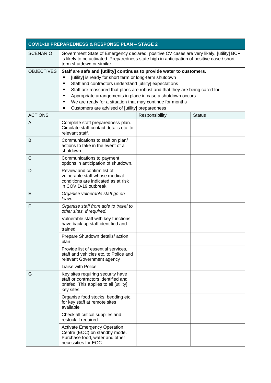| <b>COVID-19 PREPAREDNESS &amp; RESPONSE PLAN - STAGE 2</b> |                                                                                                                                                                                                                                                                                                                                                                                                                                                                                    |                |               |  |
|------------------------------------------------------------|------------------------------------------------------------------------------------------------------------------------------------------------------------------------------------------------------------------------------------------------------------------------------------------------------------------------------------------------------------------------------------------------------------------------------------------------------------------------------------|----------------|---------------|--|
| <b>SCENARIO</b>                                            | Government State of Emergency declared, positive CV cases are very likely, [utility] BCP<br>is likely to be activated. Preparedness state high in anticipation of positive case / short<br>term shutdown or similar.                                                                                                                                                                                                                                                               |                |               |  |
| <b>OBJECTIVES</b>                                          | Staff are safe and [utility] continues to provide water to customers.<br>[utility] is ready for short term or long-term shutdown<br>٠<br>Staff and contractors understand [utility] expectations<br>٠<br>Staff are reassured that plans are robust and that they are being cared for<br>п<br>Appropriate arrangements in place in case a shutdown occurs<br>٠<br>We are ready for a situation that may continue for months<br>٠<br>Customers are advised of [utility] preparedness |                |               |  |
| <b>ACTIONS</b>                                             |                                                                                                                                                                                                                                                                                                                                                                                                                                                                                    | Responsibility | <b>Status</b> |  |
| A                                                          | Complete staff preparedness plan.<br>Circulate staff contact details etc. to<br>relevant staff.                                                                                                                                                                                                                                                                                                                                                                                    |                |               |  |
| B                                                          | Communications to staff on plan/<br>actions to take in the event of a<br>shutdown.                                                                                                                                                                                                                                                                                                                                                                                                 |                |               |  |
| С                                                          | Communications to payment<br>options in anticipation of shutdown.                                                                                                                                                                                                                                                                                                                                                                                                                  |                |               |  |
| D                                                          | Review and confirm list of<br>vulnerable staff whose medical<br>conditions are indicated as at risk<br>in COVID-19 outbreak.                                                                                                                                                                                                                                                                                                                                                       |                |               |  |
| Е                                                          | Organise vulnerable staff go on<br>leave.                                                                                                                                                                                                                                                                                                                                                                                                                                          |                |               |  |
| F                                                          | Organise staff from able to travel to<br>other sites, if required.                                                                                                                                                                                                                                                                                                                                                                                                                 |                |               |  |
|                                                            | Vulnerable staff with key functions<br>have back up staff identified and<br>trained.                                                                                                                                                                                                                                                                                                                                                                                               |                |               |  |
|                                                            | Prepare Shutdown details/action<br>plan                                                                                                                                                                                                                                                                                                                                                                                                                                            |                |               |  |
|                                                            | Provide list of essential services,<br>staff and vehicles etc. to Police and<br>relevant Government agency                                                                                                                                                                                                                                                                                                                                                                         |                |               |  |
|                                                            | Liaise with Police                                                                                                                                                                                                                                                                                                                                                                                                                                                                 |                |               |  |
| G                                                          | Key sites requiring security have<br>staff or contractors identified and<br>briefed. This applies to all [utility]<br>key sites.                                                                                                                                                                                                                                                                                                                                                   |                |               |  |
|                                                            | Organise food stocks, bedding etc.<br>for key staff at remote sites<br>available                                                                                                                                                                                                                                                                                                                                                                                                   |                |               |  |
|                                                            | Check all critical supplies and<br>restock if required.                                                                                                                                                                                                                                                                                                                                                                                                                            |                |               |  |
|                                                            | <b>Activate Emergency Operation</b><br>Centre (EOC) on standby mode.<br>Purchase food, water and other<br>necessities for EOC.                                                                                                                                                                                                                                                                                                                                                     |                |               |  |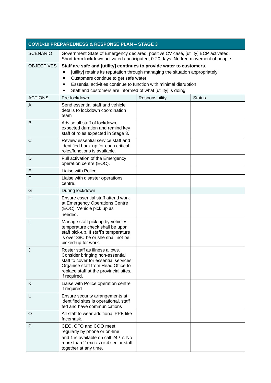| <b>COVID-19 PREPAREDNESS &amp; RESPONSE PLAN - STAGE 3</b> |                                                                                                                                                                                                                                                                                                                                                   |                |               |  |
|------------------------------------------------------------|---------------------------------------------------------------------------------------------------------------------------------------------------------------------------------------------------------------------------------------------------------------------------------------------------------------------------------------------------|----------------|---------------|--|
| <b>SCENARIO</b>                                            | Government State of Emergency declared, positive CV case, [utility] BCP activated.<br>Short-term lockdown activated / anticipated, 0-20 days. No free movement of people.                                                                                                                                                                         |                |               |  |
| <b>OBJECTIVES</b>                                          | Staff are safe and [utility] continues to provide water to customers.<br>[utility] retains its reputation through managing the situation appropriately<br>٠<br>Customers continue to get safe water<br>٠<br>Essential activities continue to function with minimal disruption<br>Staff and customers are informed of what [utility] is doing<br>٠ |                |               |  |
| <b>ACTIONS</b>                                             | Pre-lockdown                                                                                                                                                                                                                                                                                                                                      | Responsibility | <b>Status</b> |  |
| A                                                          | Send essential staff and vehicle<br>details to lockdown coordination<br>team                                                                                                                                                                                                                                                                      |                |               |  |
| B                                                          | Advise all staff of lockdown,<br>expected duration and remind key<br>staff of roles expected in Stage 3.                                                                                                                                                                                                                                          |                |               |  |
| C                                                          | Review essential service staff and<br>identified back-up for each critical<br>roles/functions is available.                                                                                                                                                                                                                                       |                |               |  |
| D                                                          | Full activation of the Emergency<br>operation centre (EOC).                                                                                                                                                                                                                                                                                       |                |               |  |
| Е                                                          | Liaise with Police                                                                                                                                                                                                                                                                                                                                |                |               |  |
| F                                                          | Liaise with disaster operations<br>centre.                                                                                                                                                                                                                                                                                                        |                |               |  |
| G                                                          | During lockdown                                                                                                                                                                                                                                                                                                                                   |                |               |  |
| H                                                          | Ensure essential staff attend work<br>at Emergency Operations Centre<br>(EOC). Vehicle pick up as<br>needed.                                                                                                                                                                                                                                      |                |               |  |
| I                                                          | Manage staff pick up by vehicles -<br>temperature check shall be upon<br>staff pick-up. If staff's temperature<br>is over 38C he or she shall not be<br>picked-up for work.                                                                                                                                                                       |                |               |  |
| J                                                          | Roster staff as illness allows.<br>Consider bringing non-essential<br>staff to cover for essential services.<br>Organise staff from Head Office to<br>replace staff at the provincial sites,<br>if required.                                                                                                                                      |                |               |  |
| Κ                                                          | Liaise with Police operation centre<br>if required                                                                                                                                                                                                                                                                                                |                |               |  |
| L                                                          | Ensure security arrangements at<br>identified sites is operational, staff<br>fed and have communications                                                                                                                                                                                                                                          |                |               |  |
| O                                                          | All staff to wear additional PPE like<br>facemask.                                                                                                                                                                                                                                                                                                |                |               |  |
| P                                                          | CEO, CFO and COO meet<br>regularly by phone or on-line<br>and 1 is available on call 24 / 7. No<br>more than 2 exec's or 4 senior staff<br>together at any time.                                                                                                                                                                                  |                |               |  |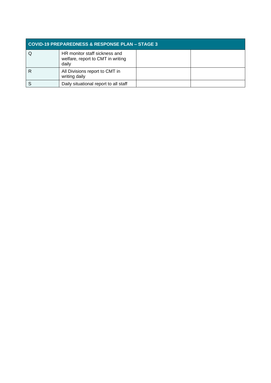| <b>COVID-19 PREPAREDNESS &amp; RESPONSE PLAN - STAGE 3</b> |                                                                             |  |  |  |
|------------------------------------------------------------|-----------------------------------------------------------------------------|--|--|--|
|                                                            | HR monitor staff sickness and<br>welfare, report to CMT in writing<br>daily |  |  |  |
|                                                            | All Divisions report to CMT in<br>writing daily                             |  |  |  |
|                                                            | Daily situational report to all staff                                       |  |  |  |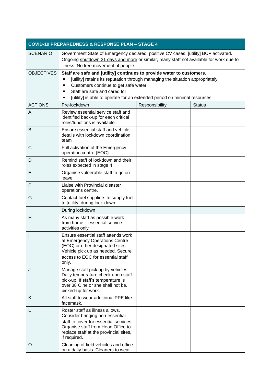| <b>COVID-19 PREPAREDNESS &amp; RESPONSE PLAN - STAGE 4</b> |                                                                                                                                                                                                                                                                                                            |                |               |  |  |
|------------------------------------------------------------|------------------------------------------------------------------------------------------------------------------------------------------------------------------------------------------------------------------------------------------------------------------------------------------------------------|----------------|---------------|--|--|
| <b>SCENARIO</b>                                            | Government State of Emergency declared, positive CV cases, [utility] BCP activated.<br>Ongoing shutdown 21 days and more or similar, many staff not available for work due to<br>illness. No free movement of people.                                                                                      |                |               |  |  |
| <b>OBJECTIVES</b>                                          | Staff are safe and [utility] continues to provide water to customers.<br>[utility] retains its reputation through managing the situation appropriately<br>Customers continue to get safe water<br>Staff are safe and cared for<br>[utility] is able to operate for an extended period on minimal resources |                |               |  |  |
| <b>ACTIONS</b>                                             | Pre-lockdown                                                                                                                                                                                                                                                                                               | Responsibility | <b>Status</b> |  |  |
| A                                                          | Review essential service staff and<br>identified back-up for each critical<br>roles/functions is available.                                                                                                                                                                                                |                |               |  |  |
| B                                                          | Ensure essential staff and vehicle<br>details with lockdown coordination<br>team                                                                                                                                                                                                                           |                |               |  |  |
| C                                                          | Full activation of the Emergency<br>operation centre (EOC).                                                                                                                                                                                                                                                |                |               |  |  |
| D                                                          | Remind staff of lockdown and their<br>roles expected in stage 4                                                                                                                                                                                                                                            |                |               |  |  |
| Е                                                          | Organise vulnerable staff to go on<br>leave.                                                                                                                                                                                                                                                               |                |               |  |  |
| F                                                          | Liaise with Provincial disaster<br>operations centre.                                                                                                                                                                                                                                                      |                |               |  |  |
| G                                                          | Contact fuel suppliers to supply fuel<br>to [utility] during lock-down                                                                                                                                                                                                                                     |                |               |  |  |
|                                                            | During lockdown                                                                                                                                                                                                                                                                                            |                |               |  |  |
| H                                                          | As many staff as possible work<br>from home - essential service<br>activities only                                                                                                                                                                                                                         |                |               |  |  |
| I                                                          | Ensure essential staff attends work<br>at Emergency Operations Centre<br>(EOC) or other designated sites.<br>Vehicle pick up as needed. Secure<br>access to EOC for essential staff<br>only.                                                                                                               |                |               |  |  |
| J                                                          | Manage staff pick up by vehicles -<br>Daily temperature check upon staff<br>pick-up. If staff's temperature is<br>over 38 C he or she shall not be.<br>picked-up for work.                                                                                                                                 |                |               |  |  |
| K.                                                         | All staff to wear additional PPE like<br>facemask.                                                                                                                                                                                                                                                         |                |               |  |  |
| L                                                          | Roster staff as illness allows.<br>Consider bringing non-essential<br>staff to cover for essential services.<br>Organise staff from Head Office to<br>replace staff at the provincial sites,<br>if required.                                                                                               |                |               |  |  |
| O                                                          | Cleaning of field vehicles and office<br>on a daily basis. Cleaners to wear                                                                                                                                                                                                                                |                |               |  |  |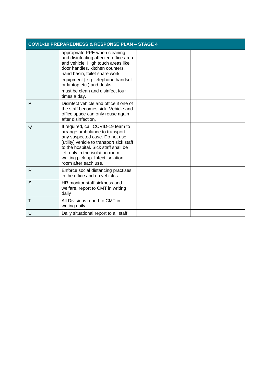|   | <b>COVID-19 PREPAREDNESS &amp; RESPONSE PLAN - STAGE 4</b>                                                                                                                                                                                                                                             |  |  |  |
|---|--------------------------------------------------------------------------------------------------------------------------------------------------------------------------------------------------------------------------------------------------------------------------------------------------------|--|--|--|
|   | appropriate PPE when cleaning<br>and disinfecting affected office area<br>and vehicle. High touch areas like<br>door handles, kitchen counters,<br>hand basin, toilet share work<br>equipment {e.g. telephone handset<br>or laptop etc.) and desks<br>must be clean and disinfect four<br>times a day. |  |  |  |
| P | Disinfect vehicle and office if one of<br>the staff becomes sick. Vehicle and<br>office space can only reuse again<br>after disinfection.                                                                                                                                                              |  |  |  |
| Q | If required, call COVID-19 team to<br>arrange ambulance to transport<br>any suspected case. Do not use<br>[utility] vehicle to transport sick staff<br>to the hospital. Sick staff shall be<br>left only in the isolation room<br>waiting pick-up. Infect isolation<br>room after each use.            |  |  |  |
| R | Enforce social distancing practises<br>in the office and on vehicles.                                                                                                                                                                                                                                  |  |  |  |
| S | HR monitor staff sickness and<br>welfare, report to CMT in writing<br>daily                                                                                                                                                                                                                            |  |  |  |
| T | All Divisions report to CMT in<br>writing daily                                                                                                                                                                                                                                                        |  |  |  |
| U | Daily situational report to all staff                                                                                                                                                                                                                                                                  |  |  |  |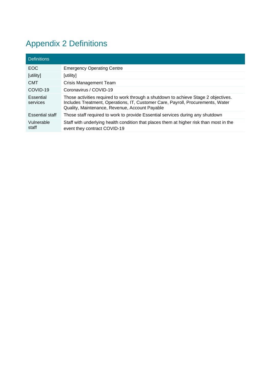## <span id="page-16-0"></span>Appendix 2 Definitions

| <b>Definitions</b>     |                                                                                                                                                                                                                          |
|------------------------|--------------------------------------------------------------------------------------------------------------------------------------------------------------------------------------------------------------------------|
| EOC.                   | <b>Emergency Operating Centre</b>                                                                                                                                                                                        |
| [utility]              | [utility]                                                                                                                                                                                                                |
| <b>CMT</b>             | Crisis Management Team                                                                                                                                                                                                   |
| COVID-19               | Coronavirus / COVID-19                                                                                                                                                                                                   |
| Essential<br>services  | Those activities required to work through a shutdown to achieve Stage 2 objectives.<br>Includes Treatment, Operations, IT, Customer Care, Payroll, Procurements, Water<br>Quality, Maintenance, Revenue, Account Payable |
| <b>Essential staff</b> | Those staff required to work to provide Essential services during any shutdown                                                                                                                                           |
| Vulnerable<br>staff    | Staff with underlying health condition that places them at higher risk than most in the<br>event they contract COVID-19                                                                                                  |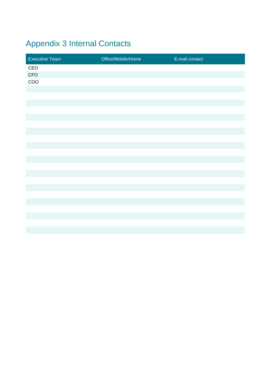## <span id="page-17-0"></span>Appendix 3 Internal Contacts

| <b>Executive Team</b> | Office/Mobile/Home<br><b>CONTRACTOR</b> | E-mail contact |
|-----------------------|-----------------------------------------|----------------|
| CEO                   |                                         |                |
| CFO                   |                                         |                |
| $\rm{COO}$            |                                         |                |
|                       |                                         |                |
|                       |                                         |                |
|                       |                                         |                |
|                       |                                         |                |
|                       |                                         |                |
|                       |                                         |                |
|                       |                                         |                |
|                       |                                         |                |
|                       |                                         |                |
|                       |                                         |                |
|                       |                                         |                |
|                       |                                         |                |
|                       |                                         |                |
|                       |                                         |                |
|                       |                                         |                |
|                       |                                         |                |
|                       |                                         |                |
|                       |                                         |                |
|                       |                                         |                |
|                       |                                         |                |